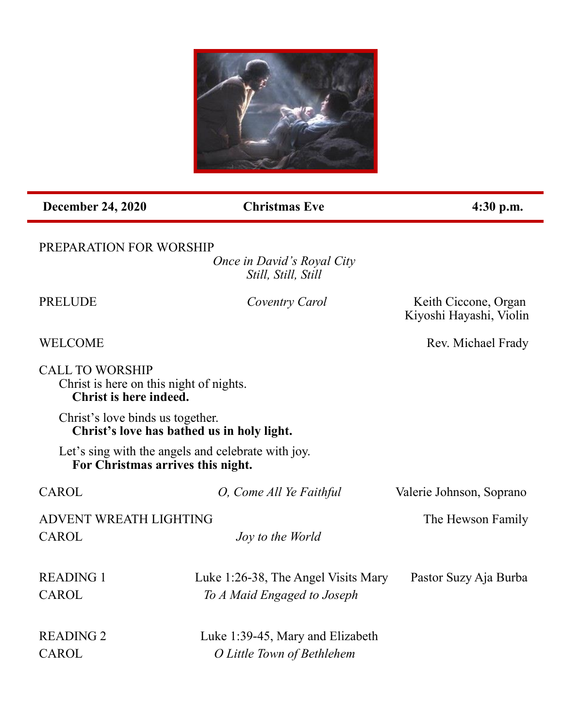

**December 24, 2020** Christmas Eve 4:30 p.m.

## PREPARATION FOR WORSHIP

*Once in David's Royal City Still, Still, Still*

WELCOME Rev. Michael Frady

Kiyoshi Hayashi, Violin

**Coventry Carol** Keith Ciccone, Organ

CALL TO WORSHIP Christ is here on this night of nights. **Christ is here indeed.**

Christ's love binds us together. **Christ's love has bathed us in holy light.**

Let's sing with the angels and celebrate with joy. **For Christmas arrives this night.**

| CAROL                  | O, Come All Ye Faithful             | Valerie Johnson, Soprano |
|------------------------|-------------------------------------|--------------------------|
| ADVENT WREATH LIGHTING |                                     | The Hewson Family        |
| CAROL                  | <i>Joy to the World</i>             |                          |
| <b>READING 1</b>       | Luke 1:26-38, The Angel Visits Mary | Pastor Suzy Aja Burba    |
| CAROL                  | To A Maid Engaged to Joseph         |                          |
| <b>READING 2</b>       | Luke 1:39-45, Mary and Elizabeth    |                          |
| CAROL                  | O Little Town of Bethlehem          |                          |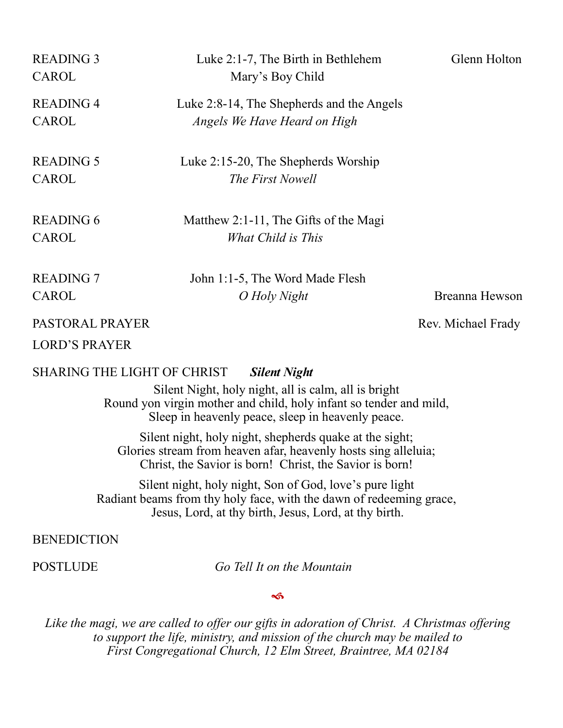| <b>READING 3</b><br><b>CAROL</b> | Luke $2:1-7$ , The Birth in Bethlehem<br>Mary's Boy Child                 | Glenn Holton   |
|----------------------------------|---------------------------------------------------------------------------|----------------|
| <b>READING 4</b><br>CAROL        | Luke 2:8-14, The Shepherds and the Angels<br>Angels We Have Heard on High |                |
| <b>READING 5</b><br>CAROL        | Luke 2:15-20, The Shepherds Worship<br>The First Nowell                   |                |
| <b>READING 6</b><br>CAROL        | Matthew 2:1-11, The Gifts of the Magi<br>What Child is This               |                |
| <b>READING 7</b><br>CAROL        | John 1:1-5, The Word Made Flesh<br>O Holy Night                           | Breanna Hewson |

PASTORAL PRAYER Rev. Michael Frady

LORD'S PRAYER

SHARING THE LIGHT OF CHRIST *Silent Night*

Silent Night, holy night, all is calm, all is bright Round yon virgin mother and child, holy infant so tender and mild, Sleep in heavenly peace, sleep in heavenly peace.

Silent night, holy night, shepherds quake at the sight; Glories stream from heaven afar, heavenly hosts sing alleluia; Christ, the Savior is born! Christ, the Savior is born!

Silent night, holy night, Son of God, love's pure light Radiant beams from thy holy face, with the dawn of redeeming grace, Jesus, Lord, at thy birth, Jesus, Lord, at thy birth.

# BENEDICTION

POSTLUDE *Go Tell It on the Mountain*

 $\rightsquigarrow$ 

*Like the magi, we are called to offer our gifts in adoration of Christ. A Christmas offering to support the life, ministry, and mission of the church may be mailed to First Congregational Church, 12 Elm Street, Braintree, MA 02184*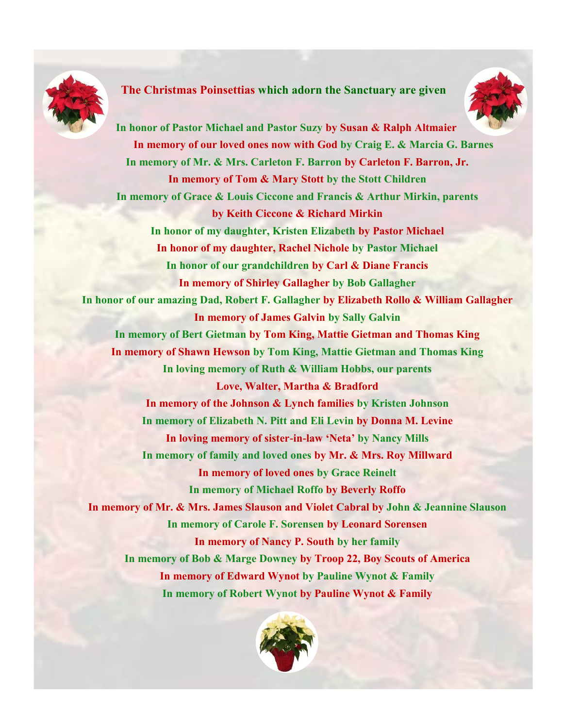

### **The Christmas Poinsettias which adorn the Sanctuary are given**



**In honor of Pastor Michael and Pastor Suzy by Susan & Ralph Altmaier In memory of our loved ones now with God by Craig E. & Marcia G. Barnes In memory of Mr. & Mrs. Carleton F. Barron by Carleton F. Barron, Jr. In memory of Tom & Mary Stott by the Stott Children In memory of Grace & Louis Ciccone and Francis & Arthur Mirkin, parents by Keith Ciccone & Richard Mirkin In honor of my daughter, Kristen Elizabeth by Pastor Michael In honor of my daughter, Rachel Nichole by Pastor Michael In honor of our grandchildren by Carl & Diane Francis In memory of Shirley Gallagher by Bob Gallagher In honor of our amazing Dad, Robert F. Gallagher by Elizabeth Rollo & William Gallagher In memory of James Galvin by Sally Galvin In memory of Bert Gietman by Tom King, Mattie Gietman and Thomas King In memory of Shawn Hewson by Tom King, Mattie Gietman and Thomas King In loving memory of Ruth & William Hobbs, our parents Love, Walter, Martha & Bradford In memory of the Johnson & Lynch families by Kristen Johnson In memory of Elizabeth N. Pitt and Eli Levin by Donna M. Levine In loving memory of sister-in-law 'Neta' by Nancy Mills In memory of family and loved ones by Mr. & Mrs. Roy Millward In memory of loved ones by Grace Reinelt In memory of Michael Roffo by Beverly Roffo In memory of Mr. & Mrs. James Slauson and Violet Cabral by John & Jeannine Slauson In memory of Carole F. Sorensen by Leonard Sorensen In memory of Nancy P. South by her family In memory of Bob & Marge Downey by Troop 22, Boy Scouts of America In memory of Edward Wynot by Pauline Wynot & Family In memory of Robert Wynot by Pauline Wynot & Family**